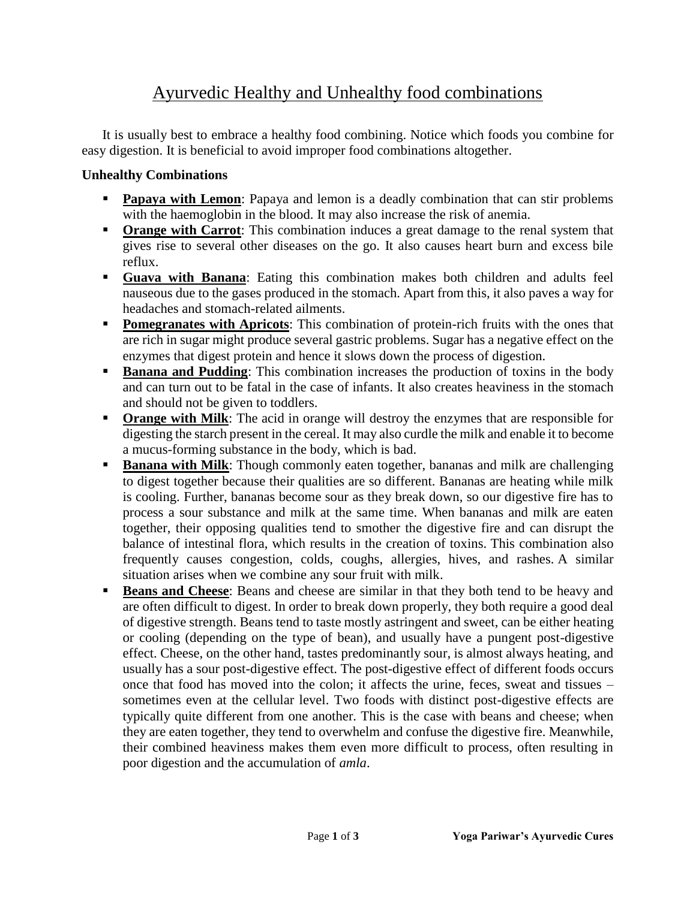## Ayurvedic Healthy and Unhealthy food combinations

It is usually best to embrace a healthy food combining. Notice which foods you combine for easy digestion. It is beneficial to avoid improper food combinations altogether.

## **Unhealthy Combinations**

- **Papaya with Lemon:** Papaya and lemon is a deadly combination that can stir problems with the haemoglobin in the blood. It may also increase the risk of anemia.
- **Orange with Carrot:** This combination induces a great damage to the renal system that gives rise to several other diseases on the go. It also causes heart burn and excess bile reflux.
- **Guava with Banana**: Eating this combination makes both children and adults feel nauseous due to the gases produced in the stomach. Apart from this, it also paves a way for headaches and stomach-related ailments.
- **Pomegranates with Apricots:** This combination of protein-rich fruits with the ones that are rich in sugar might produce several gastric problems. Sugar has a negative effect on the enzymes that digest protein and hence it slows down the process of digestion.
- **Banana and Pudding**: This combination increases the production of toxins in the body and can turn out to be fatal in the case of infants. It also creates heaviness in the stomach and should not be given to toddlers.
- **Orange with Milk**: The acid in orange will destroy the enzymes that are responsible for digesting the starch present in the cereal. It may also curdle the milk and enable it to become a mucus-forming substance in the body, which is bad.
- **Banana with Milk**: Though commonly eaten together, bananas and milk are challenging to digest together because their qualities are so different. Bananas are heating while milk is cooling. Further, bananas become sour as they break down, so our digestive fire has to process a sour substance and milk at the same time. When bananas and milk are eaten together, their opposing qualities tend to smother the digestive fire and can disrupt the balance of intestinal flora, which results in the creation of toxins. This combination also frequently causes congestion, colds, coughs, allergies, hives, and rashes. A similar situation arises when we combine any sour fruit with milk.
- **Beans and Cheese:** Beans and cheese are similar in that they both tend to be heavy and are often difficult to digest. In order to break down properly, they both require a good deal of digestive strength. Beans tend to taste mostly astringent and sweet, can be either heating or cooling (depending on the type of bean), and usually have a pungent post-digestive effect. Cheese, on the other hand, tastes predominantly sour, is almost always heating, and usually has a sour post-digestive effect. The post-digestive effect of different foods occurs once that food has moved into the colon; it affects the urine, feces, sweat and tissues – sometimes even at the cellular level. Two foods with distinct post-digestive effects are typically quite different from one another. This is the case with beans and cheese; when they are eaten together, they tend to overwhelm and confuse the digestive fire. Meanwhile, their combined heaviness makes them even more difficult to process, often resulting in poor digestion and the accumulation of *amla*.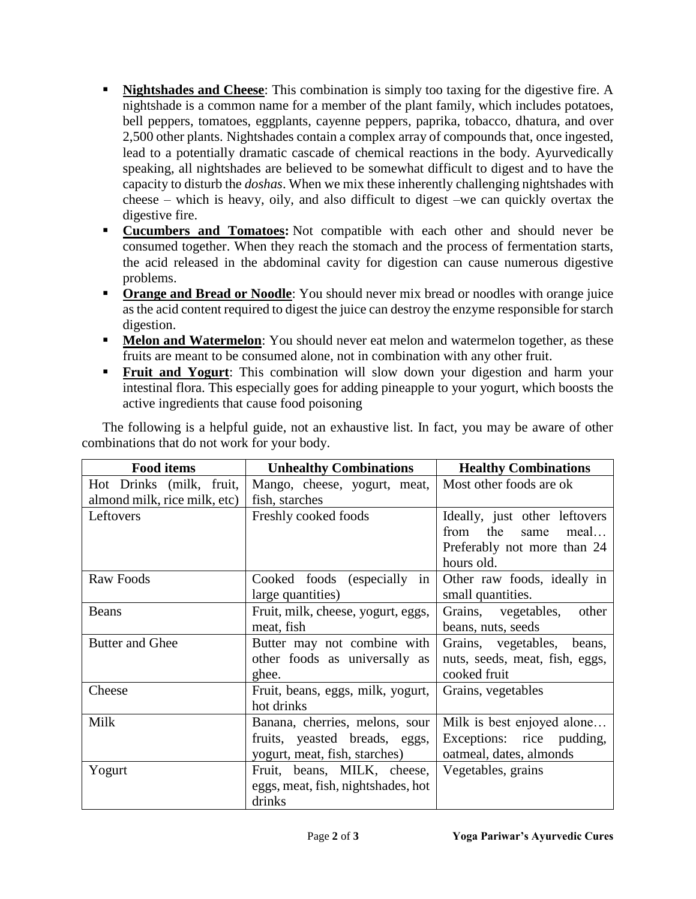- **Nightshades and Cheese**: This combination is simply too taxing for the digestive fire. A nightshade is a common name for a member of the plant family, which includes potatoes, bell peppers, tomatoes, eggplants, cayenne peppers, paprika, tobacco, dhatura, and over 2,500 other plants. Nightshades contain a complex array of compounds that, once ingested, lead to a potentially dramatic cascade of chemical reactions in the body. Ayurvedically speaking, all nightshades are believed to be somewhat difficult to digest and to have the capacity to disturb the *doshas*. When we mix these inherently challenging nightshades with cheese – which is heavy, oily, and also difficult to digest –we can quickly overtax the digestive fire.
- **Cucumbers and Tomatoes:** Not compatible with each other and should never be consumed together. When they reach the stomach and the process of fermentation starts, the acid released in the abdominal cavity for digestion can cause numerous digestive problems.
- **Orange and Bread or Noodle:** You should never mix bread or noodles with orange juice as the acid content required to digest the juice can destroy the enzyme responsible for starch digestion.
- **Melon and Watermelon**: You should never eat melon and watermelon together, as these fruits are meant to be consumed alone, not in combination with any other fruit.
- **Fruit and Yogurt:** This combination will slow down your digestion and harm your intestinal flora. This especially goes for adding pineapple to your yogurt, which boosts the active ingredients that cause food poisoning

| The following is a helpful guide, not an exhaustive list. In fact, you may be aware of other |  |  |
|----------------------------------------------------------------------------------------------|--|--|
| combinations that do not work for your body.                                                 |  |  |

| <b>Food items</b><br><b>Unhealthy Combinations</b> |                                    | <b>Healthy Combinations</b>    |
|----------------------------------------------------|------------------------------------|--------------------------------|
| Hot Drinks (milk, fruit,                           | Mango, cheese, yogurt, meat,       | Most other foods are ok        |
| almond milk, rice milk, etc)                       | fish, starches                     |                                |
| Leftovers                                          | Freshly cooked foods               | Ideally, just other leftovers  |
|                                                    |                                    | from the<br>meal<br>same       |
|                                                    |                                    | Preferably not more than 24    |
|                                                    |                                    | hours old.                     |
| Raw Foods                                          | Cooked foods (especially in        | Other raw foods, ideally in    |
|                                                    | large quantities)                  | small quantities.              |
| Beans                                              | Fruit, milk, cheese, yogurt, eggs, | Grains, vegetables,<br>other   |
|                                                    | meat, fish                         | beans, nuts, seeds             |
| <b>Butter and Ghee</b>                             | Butter may not combine with        | Grains, vegetables,<br>beans,  |
|                                                    | other foods as universally as      | nuts, seeds, meat, fish, eggs, |
|                                                    | ghee.                              | cooked fruit                   |
| Cheese                                             | Fruit, beans, eggs, milk, yogurt,  | Grains, vegetables             |
|                                                    | hot drinks                         |                                |
| Milk                                               | Banana, cherries, melons, sour     | Milk is best enjoyed alone     |
|                                                    | fruits, yeasted breads, eggs,      | Exceptions: rice pudding,      |
|                                                    | yogurt, meat, fish, starches)      | oatmeal, dates, almonds        |
| Yogurt                                             | Fruit, beans, MILK, cheese,        | Vegetables, grains             |
|                                                    | eggs, meat, fish, nightshades, hot |                                |
|                                                    | drinks                             |                                |